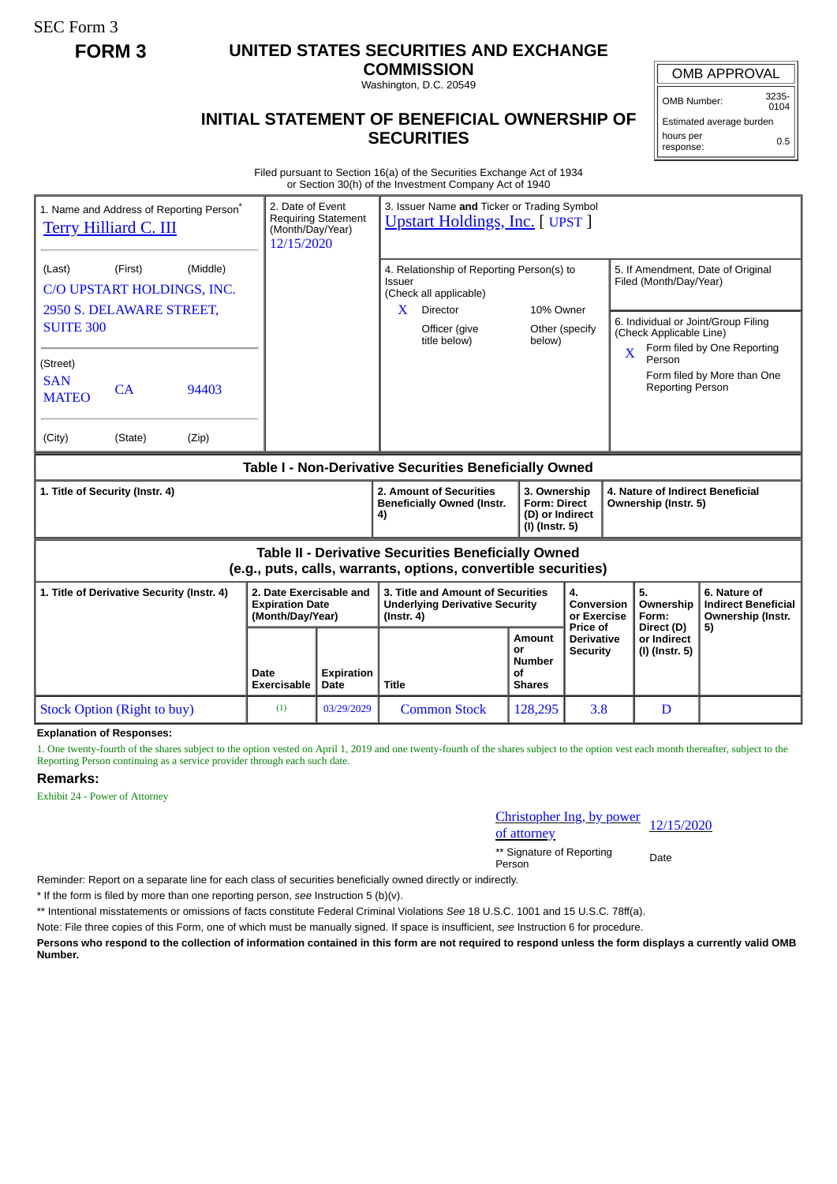SEC Form 3

## **FORM 3 UNITED STATES SECURITIES AND EXCHANGE**

**COMMISSION** Washington, D.C. 20549

OMB APPROVAL

OMB Number: 3235- 0104

Estimated average burden hours per response: 0.5

## **INITIAL STATEMENT OF BENEFICIAL OWNERSHIP OF SECURITIES**

Filed pursuant to Section 16(a) of the Securities Exchange Act of 1934 or Section 30(h) of the Investment Company Act of 1940

| 1. Name and Address of Reporting Person <sup>®</sup><br><b>Terry Hilliard C. III</b>                                                                                                               | 2. Date of Event<br><b>Requiring Statement</b><br>(Month/Day/Year)<br>12/15/2020 |                                                                                                | 3. Issuer Name and Ticker or Trading Symbol<br><b>Upstart Holdings, Inc. [ UPST ]</b>                                                          |                                                      |                                                  |                                                                                                                                                                                                                                       |    |
|----------------------------------------------------------------------------------------------------------------------------------------------------------------------------------------------------|----------------------------------------------------------------------------------|------------------------------------------------------------------------------------------------|------------------------------------------------------------------------------------------------------------------------------------------------|------------------------------------------------------|--------------------------------------------------|---------------------------------------------------------------------------------------------------------------------------------------------------------------------------------------------------------------------------------------|----|
| (Middle)<br>(First)<br>(Last)<br>C/O UPSTART HOLDINGS, INC.<br>2950 S. DELAWARE STREET,<br><b>SUITE 300</b><br>(Street)<br><b>SAN</b><br>CA<br>94403<br><b>MATEO</b><br>(City)<br>(State)<br>(Zip) |                                                                                  |                                                                                                | 4. Relationship of Reporting Person(s) to<br>Issuer<br>(Check all applicable)<br><b>Director</b><br>X<br>Officer (give<br>title below)         | 10% Owner<br>below)                                  | Other (specify                                   | 5. If Amendment, Date of Original<br>Filed (Month/Day/Year)<br>6. Individual or Joint/Group Filing<br>(Check Applicable Line)<br>Form filed by One Reporting<br>X<br>Person<br>Form filed by More than One<br><b>Reporting Person</b> |    |
| Table I - Non-Derivative Securities Beneficially Owned                                                                                                                                             |                                                                                  |                                                                                                |                                                                                                                                                |                                                      |                                                  |                                                                                                                                                                                                                                       |    |
| 1. Title of Security (Instr. 4)                                                                                                                                                                    |                                                                                  |                                                                                                | 2. Amount of Securities<br>3. Ownership<br><b>Beneficially Owned (Instr.</b><br><b>Form: Direct</b><br>(D) or Indirect<br>4)<br>(I) (Instr. 5) |                                                      |                                                  | 4. Nature of Indirect Beneficial<br>Ownership (Instr. 5)                                                                                                                                                                              |    |
| <b>Table II - Derivative Securities Beneficially Owned</b><br>(e.g., puts, calls, warrants, options, convertible securities)                                                                       |                                                                                  |                                                                                                |                                                                                                                                                |                                                      |                                                  |                                                                                                                                                                                                                                       |    |
| 2. Date Exercisable and<br>1. Title of Derivative Security (Instr. 4)<br><b>Expiration Date</b><br>(Month/Day/Year)                                                                                |                                                                                  | 3. Title and Amount of Securities<br><b>Underlying Derivative Security</b><br>$($ Instr. 4 $)$ |                                                                                                                                                | 4.<br>Conversion<br>or Exercise                      | 5.<br>Ownership<br>Form:                         | 6. Nature of<br><b>Indirect Beneficial</b><br>Ownership (Instr.                                                                                                                                                                       |    |
|                                                                                                                                                                                                    | Date<br><b>Exercisable</b>                                                       | <b>Expiration</b><br>Date                                                                      | <b>Title</b>                                                                                                                                   | Amount<br>or<br><b>Number</b><br>Οf<br><b>Shares</b> | Price of<br><b>Derivative</b><br><b>Security</b> | Direct (D)<br>or Indirect<br>(I) (Instr. 5)                                                                                                                                                                                           | 5) |
| <b>Stock Option (Right to buy)</b>                                                                                                                                                                 | (1)                                                                              | 03/29/2029                                                                                     | <b>Common Stock</b>                                                                                                                            | 128,295                                              | 3.8                                              | D                                                                                                                                                                                                                                     |    |

**Explanation of Responses:**

1. One twenty-fourth of the shares subject to the option vested on April 1, 2019 and one twenty-fourth of the shares subject to the option vest each month thereafter, subject to the Reporting Person continuing as a service provider through each such date.

**Remarks:**

Exhibit 24 - Power of Attorney

Christopher Ing, by power <u>Christopher mg, by power</u> 12/15/2020<br>of attorney

\*\* Signature of Reporting Person Date

Reminder: Report on a separate line for each class of securities beneficially owned directly or indirectly.

\* If the form is filed by more than one reporting person, *see* Instruction 5 (b)(v).

\*\* Intentional misstatements or omissions of facts constitute Federal Criminal Violations *See* 18 U.S.C. 1001 and 15 U.S.C. 78ff(a).

Note: File three copies of this Form, one of which must be manually signed. If space is insufficient, *see* Instruction 6 for procedure.

**Persons who respond to the collection of information contained in this form are not required to respond unless the form displays a currently valid OMB Number.**